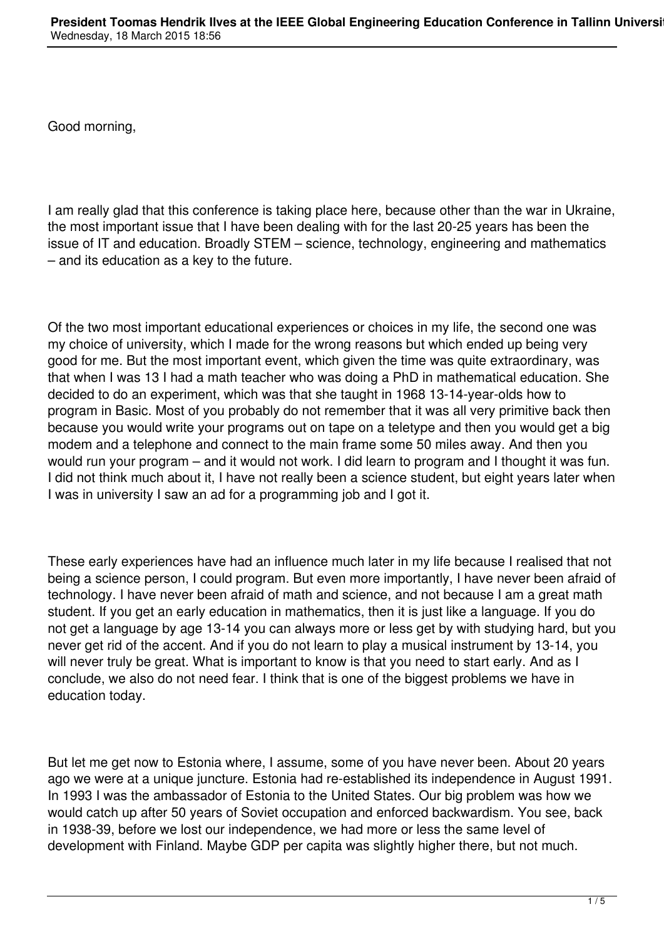Good morning,

I am really glad that this conference is taking place here, because other than the war in Ukraine, the most important issue that I have been dealing with for the last 20-25 years has been the issue of IT and education. Broadly STEM – science, technology, engineering and mathematics – and its education as a key to the future.

Of the two most important educational experiences or choices in my life, the second one was my choice of university, which I made for the wrong reasons but which ended up being very good for me. But the most important event, which given the time was quite extraordinary, was that when I was 13 I had a math teacher who was doing a PhD in mathematical education. She decided to do an experiment, which was that she taught in 1968 13-14-year-olds how to program in Basic. Most of you probably do not remember that it was all very primitive back then because you would write your programs out on tape on a teletype and then you would get a big modem and a telephone and connect to the main frame some 50 miles away. And then you would run your program – and it would not work. I did learn to program and I thought it was fun. I did not think much about it, I have not really been a science student, but eight years later when I was in university I saw an ad for a programming job and I got it.

These early experiences have had an influence much later in my life because I realised that not being a science person, I could program. But even more importantly, I have never been afraid of technology. I have never been afraid of math and science, and not because I am a great math student. If you get an early education in mathematics, then it is just like a language. If you do not get a language by age 13-14 you can always more or less get by with studying hard, but you never get rid of the accent. And if you do not learn to play a musical instrument by 13-14, you will never truly be great. What is important to know is that you need to start early. And as I conclude, we also do not need fear. I think that is one of the biggest problems we have in education today.

But let me get now to Estonia where, I assume, some of you have never been. About 20 years ago we were at a unique juncture. Estonia had re-established its independence in August 1991. In 1993 I was the ambassador of Estonia to the United States. Our big problem was how we would catch up after 50 years of Soviet occupation and enforced backwardism. You see, back in 1938-39, before we lost our independence, we had more or less the same level of development with Finland. Maybe GDP per capita was slightly higher there, but not much.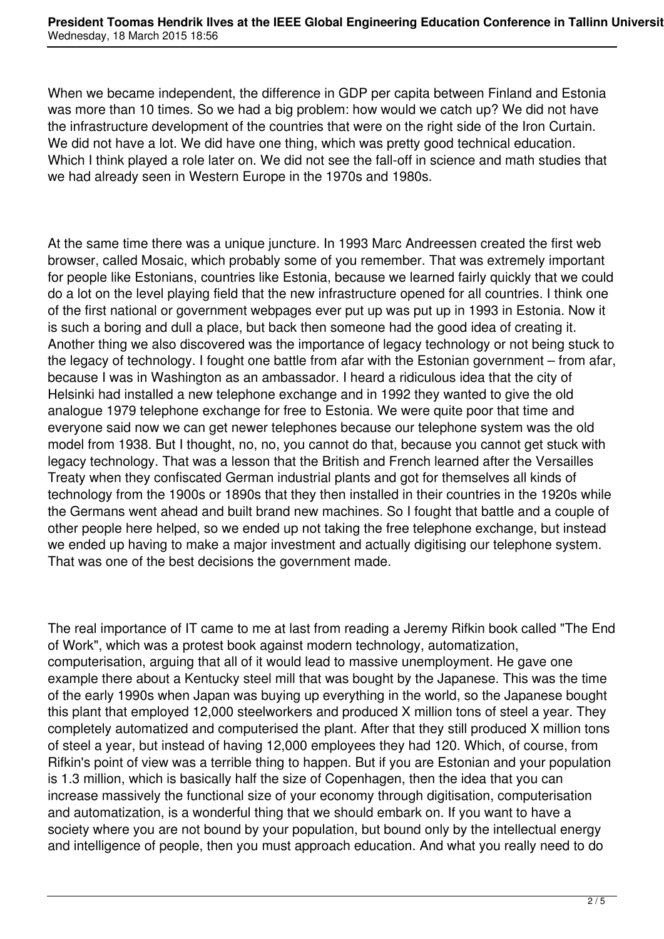When we became independent, the difference in GDP per capita between Finland and Estonia was more than 10 times. So we had a big problem: how would we catch up? We did not have the infrastructure development of the countries that were on the right side of the Iron Curtain. We did not have a lot. We did have one thing, which was pretty good technical education. Which I think played a role later on. We did not see the fall-off in science and math studies that we had already seen in Western Europe in the 1970s and 1980s.

At the same time there was a unique juncture. In 1993 Marc Andreessen created the first web browser, called Mosaic, which probably some of you remember. That was extremely important for people like Estonians, countries like Estonia, because we learned fairly quickly that we could do a lot on the level playing field that the new infrastructure opened for all countries. I think one of the first national or government webpages ever put up was put up in 1993 in Estonia. Now it is such a boring and dull a place, but back then someone had the good idea of creating it. Another thing we also discovered was the importance of legacy technology or not being stuck to the legacy of technology. I fought one battle from afar with the Estonian government – from afar, because I was in Washington as an ambassador. I heard a ridiculous idea that the city of Helsinki had installed a new telephone exchange and in 1992 they wanted to give the old analogue 1979 telephone exchange for free to Estonia. We were quite poor that time and everyone said now we can get newer telephones because our telephone system was the old model from 1938. But I thought, no, no, you cannot do that, because you cannot get stuck with legacy technology. That was a lesson that the British and French learned after the Versailles Treaty when they confiscated German industrial plants and got for themselves all kinds of technology from the 1900s or 1890s that they then installed in their countries in the 1920s while the Germans went ahead and built brand new machines. So I fought that battle and a couple of other people here helped, so we ended up not taking the free telephone exchange, but instead we ended up having to make a major investment and actually digitising our telephone system. That was one of the best decisions the government made.

The real importance of IT came to me at last from reading a Jeremy Rifkin book called "The End of Work", which was a protest book against modern technology, automatization, computerisation, arguing that all of it would lead to massive unemployment. He gave one example there about a Kentucky steel mill that was bought by the Japanese. This was the time of the early 1990s when Japan was buying up everything in the world, so the Japanese bought this plant that employed 12,000 steelworkers and produced X million tons of steel a year. They completely automatized and computerised the plant. After that they still produced X million tons of steel a year, but instead of having 12,000 employees they had 120. Which, of course, from Rifkin's point of view was a terrible thing to happen. But if you are Estonian and your population is 1.3 million, which is basically half the size of Copenhagen, then the idea that you can increase massively the functional size of your economy through digitisation, computerisation and automatization, is a wonderful thing that we should embark on. If you want to have a society where you are not bound by your population, but bound only by the intellectual energy and intelligence of people, then you must approach education. And what you really need to do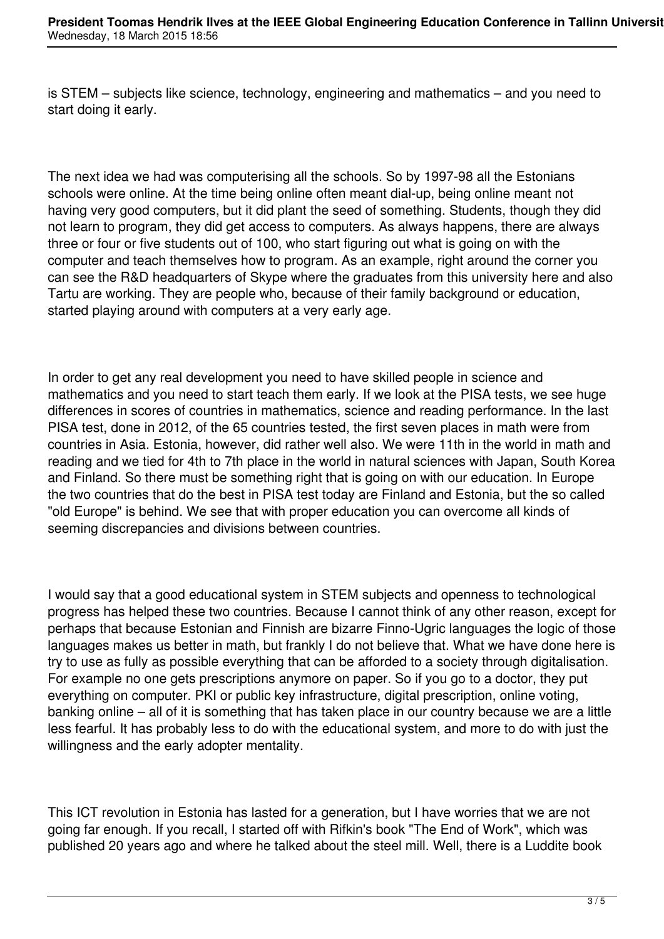is STEM – subjects like science, technology, engineering and mathematics – and you need to start doing it early.

The next idea we had was computerising all the schools. So by 1997-98 all the Estonians schools were online. At the time being online often meant dial-up, being online meant not having very good computers, but it did plant the seed of something. Students, though they did not learn to program, they did get access to computers. As always happens, there are always three or four or five students out of 100, who start figuring out what is going on with the computer and teach themselves how to program. As an example, right around the corner you can see the R&D headquarters of Skype where the graduates from this university here and also Tartu are working. They are people who, because of their family background or education, started playing around with computers at a very early age.

In order to get any real development you need to have skilled people in science and mathematics and you need to start teach them early. If we look at the PISA tests, we see huge differences in scores of countries in mathematics, science and reading performance. In the last PISA test, done in 2012, of the 65 countries tested, the first seven places in math were from countries in Asia. Estonia, however, did rather well also. We were 11th in the world in math and reading and we tied for 4th to 7th place in the world in natural sciences with Japan, South Korea and Finland. So there must be something right that is going on with our education. In Europe the two countries that do the best in PISA test today are Finland and Estonia, but the so called "old Europe" is behind. We see that with proper education you can overcome all kinds of seeming discrepancies and divisions between countries.

I would say that a good educational system in STEM subjects and openness to technological progress has helped these two countries. Because I cannot think of any other reason, except for perhaps that because Estonian and Finnish are bizarre Finno-Ugric languages the logic of those languages makes us better in math, but frankly I do not believe that. What we have done here is try to use as fully as possible everything that can be afforded to a society through digitalisation. For example no one gets prescriptions anymore on paper. So if you go to a doctor, they put everything on computer. PKI or public key infrastructure, digital prescription, online voting, banking online – all of it is something that has taken place in our country because we are a little less fearful. It has probably less to do with the educational system, and more to do with just the willingness and the early adopter mentality.

This ICT revolution in Estonia has lasted for a generation, but I have worries that we are not going far enough. If you recall, I started off with Rifkin's book "The End of Work", which was published 20 years ago and where he talked about the steel mill. Well, there is a Luddite book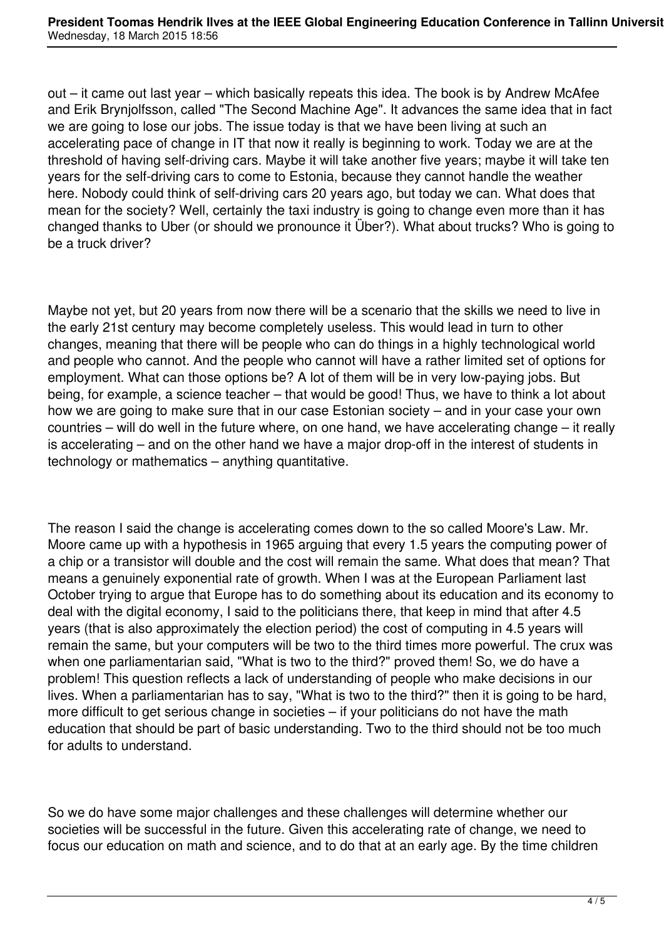out – it came out last year – which basically repeats this idea. The book is by Andrew McAfee and Erik Brynjolfsson, called "The Second Machine Age". It advances the same idea that in fact we are going to lose our jobs. The issue today is that we have been living at such an accelerating pace of change in IT that now it really is beginning to work. Today we are at the threshold of having self-driving cars. Maybe it will take another five years; maybe it will take ten years for the self-driving cars to come to Estonia, because they cannot handle the weather here. Nobody could think of self-driving cars 20 years ago, but today we can. What does that mean for the society? Well, certainly the taxi industry is going to change even more than it has changed thanks to Uber (or should we pronounce it Über?). What about trucks? Who is going to be a truck driver?

Maybe not yet, but 20 years from now there will be a scenario that the skills we need to live in the early 21st century may become completely useless. This would lead in turn to other changes, meaning that there will be people who can do things in a highly technological world and people who cannot. And the people who cannot will have a rather limited set of options for employment. What can those options be? A lot of them will be in very low-paying jobs. But being, for example, a science teacher – that would be good! Thus, we have to think a lot about how we are going to make sure that in our case Estonian society – and in your case your own countries – will do well in the future where, on one hand, we have accelerating change – it really is accelerating – and on the other hand we have a major drop-off in the interest of students in technology or mathematics – anything quantitative.

The reason I said the change is accelerating comes down to the so called Moore's Law. Mr. Moore came up with a hypothesis in 1965 arguing that every 1.5 years the computing power of a chip or a transistor will double and the cost will remain the same. What does that mean? That means a genuinely exponential rate of growth. When I was at the European Parliament last October trying to argue that Europe has to do something about its education and its economy to deal with the digital economy, I said to the politicians there, that keep in mind that after 4.5 years (that is also approximately the election period) the cost of computing in 4.5 years will remain the same, but your computers will be two to the third times more powerful. The crux was when one parliamentarian said, "What is two to the third?" proved them! So, we do have a problem! This question reflects a lack of understanding of people who make decisions in our lives. When a parliamentarian has to say, "What is two to the third?" then it is going to be hard, more difficult to get serious change in societies – if your politicians do not have the math education that should be part of basic understanding. Two to the third should not be too much for adults to understand.

So we do have some major challenges and these challenges will determine whether our societies will be successful in the future. Given this accelerating rate of change, we need to focus our education on math and science, and to do that at an early age. By the time children